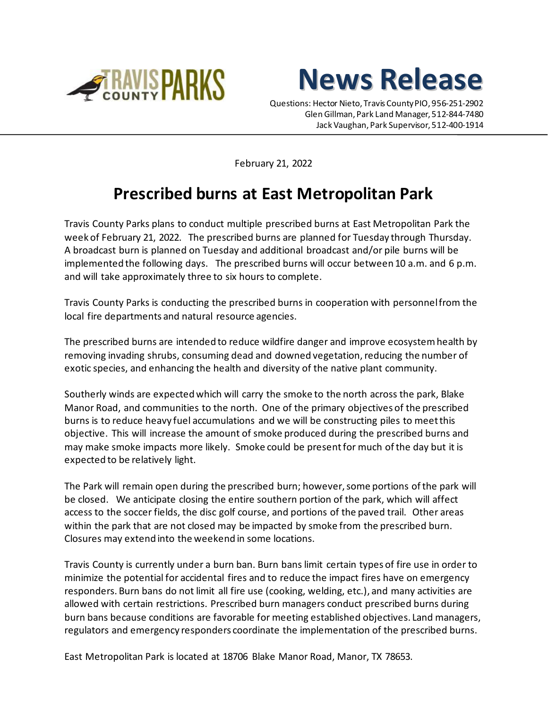



Questions: Hector Nieto, Travis County PIO, 956-251-2902 Glen Gillman, Park Land Manager, 512-844-7480 Jack Vaughan, Park Supervisor, 512-400-1914

February 21, 2022

## **Prescribed burns at East Metropolitan Park**

Travis County Parks plans to conduct multiple prescribed burns at East Metropolitan Park the week of February 21, 2022. The prescribed burns are planned for Tuesday through Thursday. A broadcast burn is planned on Tuesday and additional broadcast and/or pile burns will be implemented the following days. The prescribed burns will occur between 10 a.m. and 6 p.m. and will take approximately three to six hours to complete.

Travis County Parks is conducting the prescribed burns in cooperation with personnel from the local fire departments and natural resource agencies.

The prescribed burns are intended to reduce wildfire danger and improve ecosystem health by removing invading shrubs, consuming dead and downed vegetation, reducing the number of exotic species, and enhancing the health and diversity of the native plant community.

Southerly winds are expected which will carry the smoke to the north across the park, Blake Manor Road, and communities to the north. One of the primary objectives of the prescribed burns is to reduce heavy fuel accumulations and we will be constructing piles to meet this objective. This will increase the amount of smoke produced during the prescribed burns and may make smoke impacts more likely. Smoke could be present for much of the day but it is expected to be relatively light.

The Park will remain open during the prescribed burn; however, some portions of the park will be closed. We anticipate closing the entire southern portion of the park, which will affect access to the soccer fields, the disc golf course, and portions of the paved trail. Other areas within the park that are not closed may be impacted by smoke from the prescribed burn. Closures may extend into the weekend in some locations.

Travis County is currently under a burn ban. Burn bans limit certain types of fire use in order to minimize the potential for accidental fires and to reduce the impact fires have on emergency responders. Burn bans do not limit all fire use (cooking, welding, etc.), and many activities are allowed with certain restrictions. Prescribed burn managers conduct prescribed burns during burn bans because conditions are favorable for meeting established objectives. Land managers, regulators and emergency responders coordinate the implementation of the prescribed burns.

East Metropolitan Park is located at 18706 Blake Manor Road, Manor, TX 78653.